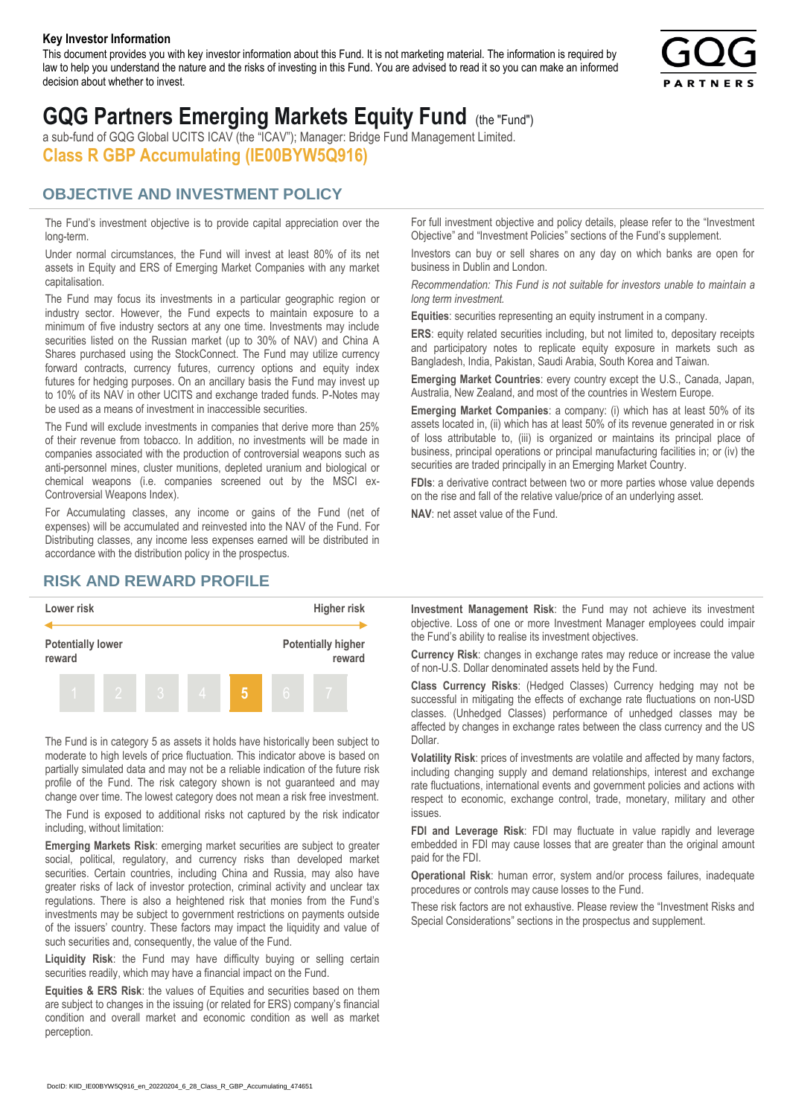#### **Key Investor Information**

This document provides you with key investor information about this Fund. It is not marketing material. The information is required by law to help you understand the nature and the risks of investing in this Fund. You are advised to read it so you can make an informed decision about whether to invest.



# **GQG Partners Emerging Markets Equity Fund** (the "Fund")

a sub-fund of GQG Global UCITS ICAV (the "ICAV"); Manager: Bridge Fund Management Limited. **Class R GBP Accumulating (IE00BYW5Q916)**

### **OBJECTIVE AND INVESTMENT POLICY**

The Fund's investment objective is to provide capital appreciation over the long-term.

Under normal circumstances, the Fund will invest at least 80% of its net assets in Equity and ERS of Emerging Market Companies with any market capitalisation.

The Fund may focus its investments in a particular geographic region or industry sector. However, the Fund expects to maintain exposure to a minimum of five industry sectors at any one time. Investments may include securities listed on the Russian market (up to 30% of NAV) and China A Shares purchased using the StockConnect. The Fund may utilize currency forward contracts, currency futures, currency options and equity index futures for hedging purposes. On an ancillary basis the Fund may invest up to 10% of its NAV in other UCITS and exchange traded funds. P-Notes may be used as a means of investment in inaccessible securities.

The Fund will exclude investments in companies that derive more than 25% of their revenue from tobacco. In addition, no investments will be made in companies associated with the production of controversial weapons such as anti-personnel mines, cluster munitions, depleted uranium and biological or chemical weapons (i.e. companies screened out by the MSCI ex-Controversial Weapons Index).

For Accumulating classes, any income or gains of the Fund (net of expenses) will be accumulated and reinvested into the NAV of the Fund. For Distributing classes, any income less expenses earned will be distributed in accordance with the distribution policy in the prospectus.

## **RISK AND REWARD PROFILE**



The Fund is in category 5 as assets it holds have historically been subject to moderate to high levels of price fluctuation. This indicator above is based on partially simulated data and may not be a reliable indication of the future risk profile of the Fund. The risk category shown is not guaranteed and may change over time. The lowest category does not mean a risk free investment.

The Fund is exposed to additional risks not captured by the risk indicator including, without limitation:

**Emerging Markets Risk**: emerging market securities are subject to greater social, political, regulatory, and currency risks than developed market securities. Certain countries, including China and Russia, may also have greater risks of lack of investor protection, criminal activity and unclear tax regulations. There is also a heightened risk that monies from the Fund's investments may be subject to government restrictions on payments outside of the issuers' country. These factors may impact the liquidity and value of such securities and, consequently, the value of the Fund.

**Liquidity Risk**: the Fund may have difficulty buying or selling certain securities readily, which may have a financial impact on the Fund.

**Equities & ERS Risk**: the values of Equities and securities based on them are subject to changes in the issuing (or related for ERS) company's financial condition and overall market and economic condition as well as market perception.

For full investment objective and policy details, please refer to the "Investment Objective" and "Investment Policies" sections of the Fund's supplement.

Investors can buy or sell shares on any day on which banks are open for business in Dublin and London.

*Recommendation: This Fund is not suitable for investors unable to maintain a long term investment.*

**Equities**: securities representing an equity instrument in a company.

**ERS:** equity related securities including, but not limited to, depositary receipts and participatory notes to replicate equity exposure in markets such as Bangladesh, India, Pakistan, Saudi Arabia, South Korea and Taiwan.

**Emerging Market Countries**: every country except the U.S., Canada, Japan, Australia, New Zealand, and most of the countries in Western Europe.

**Emerging Market Companies**: a company: (i) which has at least 50% of its assets located in, (ii) which has at least 50% of its revenue generated in or risk of loss attributable to, (iii) is organized or maintains its principal place of business, principal operations or principal manufacturing facilities in; or (iv) the securities are traded principally in an Emerging Market Country.

**FDIs**: a derivative contract between two or more parties whose value depends on the rise and fall of the relative value/price of an underlying asset.

**NAV**: net asset value of the Fund.

**Investment Management Risk**: the Fund may not achieve its investment objective. Loss of one or more Investment Manager employees could impair the Fund's ability to realise its investment objectives.

**Currency Risk**: changes in exchange rates may reduce or increase the value of non-U.S. Dollar denominated assets held by the Fund.

**Class Currency Risks**: (Hedged Classes) Currency hedging may not be successful in mitigating the effects of exchange rate fluctuations on non-USD classes. (Unhedged Classes) performance of unhedged classes may be affected by changes in exchange rates between the class currency and the US Dollar.

**Volatility Risk**: prices of investments are volatile and affected by many factors, including changing supply and demand relationships, interest and exchange rate fluctuations, international events and government policies and actions with respect to economic, exchange control, trade, monetary, military and other issues.

**FDI and Leverage Risk**: FDI may fluctuate in value rapidly and leverage embedded in FDI may cause losses that are greater than the original amount paid for the FDI.

**Operational Risk**: human error, system and/or process failures, inadequate procedures or controls may cause losses to the Fund.

These risk factors are not exhaustive. Please review the "Investment Risks and Special Considerations" sections in the prospectus and supplement.